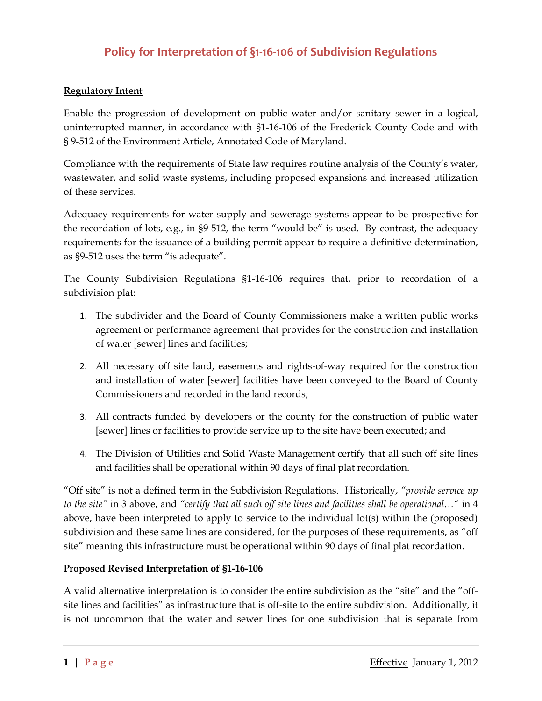# **Policy for Interpretation of §1-16-106 of Subdivision Regulations**

# **Regulatory Intent**

Enable the progression of development on public water and/or sanitary sewer in a logical, uninterrupted manner, in accordance with §1-16-106 of the Frederick County Code and with § 9-512 of the Environment Article, Annotated Code of Maryland.

Compliance with the requirements of State law requires routine analysis of the County's water, wastewater, and solid waste systems, including proposed expansions and increased utilization of these services.

Adequacy requirements for water supply and sewerage systems appear to be prospective for the recordation of lots, e.g., in §9-512, the term "would be" is used. By contrast, the adequacy requirements for the issuance of a building permit appear to require a definitive determination, as §9-512 uses the term "is adequate".

The County Subdivision Regulations §1-16-106 requires that, prior to recordation of a subdivision plat:

- 1. The subdivider and the Board of County Commissioners make a written public works agreement or performance agreement that provides for the construction and installation of water [sewer] lines and facilities;
- 2. All necessary off site land, easements and rights-of-way required for the construction and installation of water [sewer] facilities have been conveyed to the Board of County Commissioners and recorded in the land records;
- 3. All contracts funded by developers or the county for the construction of public water [sewer] lines or facilities to provide service up to the site have been executed; and
- 4. The Division of Utilities and Solid Waste Management certify that all such off site lines and facilities shall be operational within 90 days of final plat recordation.

"Off site" is not a defined term in the Subdivision Regulations. Historically, *"provide service up to the site"* in 3 above, and *"certify that all such off site lines and facilities shall be operational…"* in 4 above, have been interpreted to apply to service to the individual lot(s) within the (proposed) subdivision and these same lines are considered, for the purposes of these requirements, as "off site" meaning this infrastructure must be operational within 90 days of final plat recordation.

# **Proposed Revised Interpretation of §1-16-106**

A valid alternative interpretation is to consider the entire subdivision as the "site" and the "offsite lines and facilities" as infrastructure that is off-site to the entire subdivision. Additionally, it is not uncommon that the water and sewer lines for one subdivision that is separate from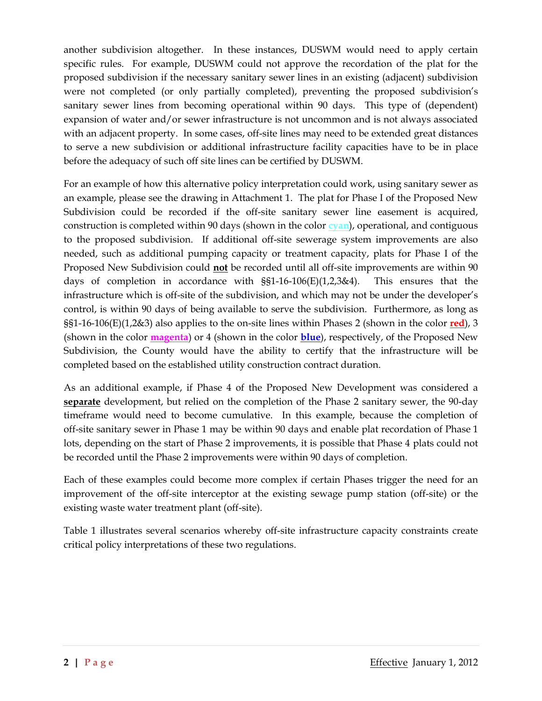another subdivision altogether. In these instances, DUSWM would need to apply certain specific rules. For example, DUSWM could not approve the recordation of the plat for the proposed subdivision if the necessary sanitary sewer lines in an existing (adjacent) subdivision were not completed (or only partially completed), preventing the proposed subdivision's sanitary sewer lines from becoming operational within 90 days. This type of (dependent) expansion of water and/or sewer infrastructure is not uncommon and is not always associated with an adjacent property. In some cases, off-site lines may need to be extended great distances to serve a new subdivision or additional infrastructure facility capacities have to be in place before the adequacy of such off site lines can be certified by DUSWM.

For an example of how this alternative policy interpretation could work, using sanitary sewer as an example, please see the drawing in Attachment 1. The plat for Phase I of the Proposed New Subdivision could be recorded if the off-site sanitary sewer line easement is acquired, construction is completed within 90 days (shown in the color **cyan**), operational, and contiguous to the proposed subdivision. If additional off-site sewerage system improvements are also needed, such as additional pumping capacity or treatment capacity, plats for Phase I of the Proposed New Subdivision could **not** be recorded until all off-site improvements are within 90 days of completion in accordance with §§1-16-106(E)(1,2,3&4). This ensures that the infrastructure which is off-site of the subdivision, and which may not be under the developer's control, is within 90 days of being available to serve the subdivision. Furthermore, as long as §§1-16-106(E)(1,2&3) also applies to the on-site lines within Phases 2 (shown in the color **red**), 3 (shown in the color **magenta**) or 4 (shown in the color **blue**), respectively, of the Proposed New Subdivision, the County would have the ability to certify that the infrastructure will be completed based on the established utility construction contract duration.

As an additional example, if Phase 4 of the Proposed New Development was considered a **separate** development, but relied on the completion of the Phase 2 sanitary sewer, the 90-day timeframe would need to become cumulative. In this example, because the completion of off-site sanitary sewer in Phase 1 may be within 90 days and enable plat recordation of Phase 1 lots, depending on the start of Phase 2 improvements, it is possible that Phase 4 plats could not be recorded until the Phase 2 improvements were within 90 days of completion.

Each of these examples could become more complex if certain Phases trigger the need for an improvement of the off-site interceptor at the existing sewage pump station (off-site) or the existing waste water treatment plant (off-site).

Table 1 illustrates several scenarios whereby off-site infrastructure capacity constraints create critical policy interpretations of these two regulations.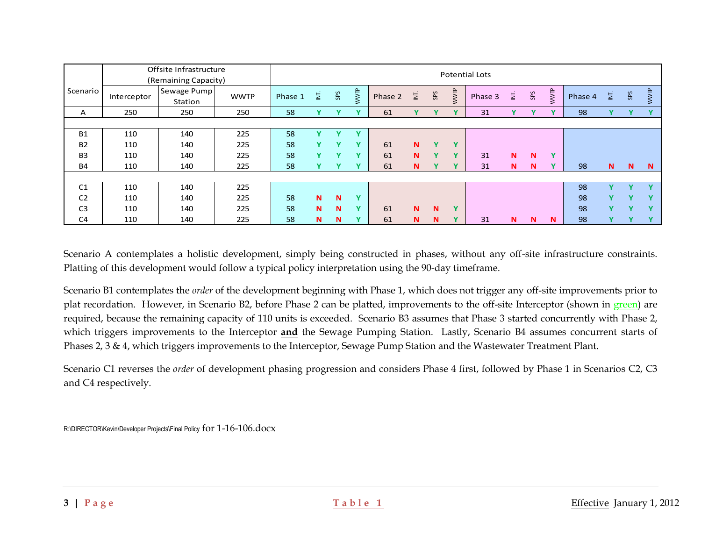|                | Offsite Infrastructure<br>(Remaining Capacity) | <b>Potential Lots</b>  |             |         |    |     |              |         |                |             |              |         |                  |     |              |         |              |              |              |
|----------------|------------------------------------------------|------------------------|-------------|---------|----|-----|--------------|---------|----------------|-------------|--------------|---------|------------------|-----|--------------|---------|--------------|--------------|--------------|
| Scenario       | Interceptor                                    | Sewage Pump<br>Station | <b>WWTP</b> | Phase 1 | ξĒ | SPS | WWTP         | Phase 2 | $\overline{E}$ | SPS         | WWTP         | Phase 3 | $\overline{\Xi}$ | SPS | WWTP         | Phase 4 | Ξ.           | SPS          | WWTP         |
| A              | 250                                            | 250                    | 250         | 58      | v  |     | $\mathbf{v}$ | 61      | Y              | v           | $\mathbf{v}$ | 31      | v                | Y   | $\mathbf{v}$ | 98      |              |              |              |
|                |                                                |                        |             |         |    |     |              |         |                |             |              |         |                  |     |              |         |              |              |              |
| <b>B1</b>      | 110                                            | 140                    | 225         | 58      | v  |     | $\mathbf{v}$ |         |                |             |              |         |                  |     |              |         |              |              |              |
| <b>B2</b>      | 110                                            | 140                    | 225         | 58      | Y  |     | $\mathbf{v}$ | 61      | N              | Y           | $\mathbf{v}$ |         |                  |     |              |         |              |              |              |
| B <sub>3</sub> | 110                                            | 140                    | 225         | 58      | v  | Y   | $\mathbf{v}$ | 61      | N              | Ÿ           | $\mathbf{v}$ | 31      | N                | N   | $\mathbf{v}$ |         |              |              |              |
| <b>B4</b>      | 110                                            | 140                    | 225         | 58      | v  | Y   | $\mathbf{v}$ | 61      | N              | $\mathbf v$ | $\mathbf{v}$ | 31      | N                | N   | $\mathbf{v}$ | 98      | $\mathbf N$  | $\mathbf N$  | $\mathbf N$  |
|                |                                                |                        |             |         |    |     |              |         |                |             |              |         |                  |     |              |         |              |              |              |
| C <sub>1</sub> | 110                                            | 140                    | 225         |         |    |     |              |         |                |             |              |         |                  |     |              | 98      | $\mathbf{v}$ | $\mathbf{v}$ |              |
| C <sub>2</sub> | 110                                            | 140                    | 225         | 58      | N  | N   | $\mathbf{v}$ |         |                |             |              |         |                  |     |              | 98      | v            | $\mathbf{v}$ | $\mathbf{v}$ |
| C <sub>3</sub> | 110                                            | 140                    | 225         | 58      | N  | N   | $\sqrt{}$    | 61      | N              | N           | $\mathbf{v}$ |         |                  |     |              | 98      | $\mathbf v$  | $\mathbf{v}$ |              |
| C <sub>4</sub> | 110                                            | 140                    | 225         | 58      | N  | N   |              | 61      | N              | N           | v            | 31      | N                | N   | N            | 98      | v            |              |              |

Scenario A contemplates a holistic development, simply being constructed in phases, without any off-site infrastructure constraints. Platting of this development would follow a typical policy interpretation using the 90-day timeframe.

Scenario B1 contemplates the *order* of the development beginning with Phase 1, which does not trigger any off-site improvements prior to plat recordation. However, in Scenario B2, before Phase 2 can be platted, improvements to the off-site Interceptor (shown in green) are required, because the remaining capacity of 110 units is exceeded. Scenario B3 assumes that Phase 3 started concurrently with Phase 2, which triggers improvements to the Interceptor **and** the Sewage Pumping Station. Lastly, Scenario B4 assumes concurrent starts of Phases 2, 3 & 4, which triggers improvements to the Interceptor, Sewage Pump Station and the Wastewater Treatment Plant.

Scenario C1 reverses the *order* of development phasing progression and considers Phase 4 first, followed by Phase 1 in Scenarios C2, C3 and C4 respectively.

R:\DIRECTOR\Kevin\Developer Projects\Final Policy for 1-16-106.docx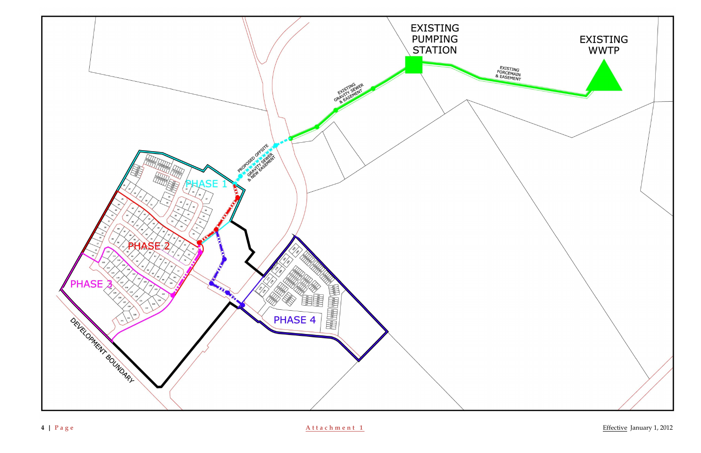

**| P a g e A t t a c h m e n t 1** Effective January 1, 2012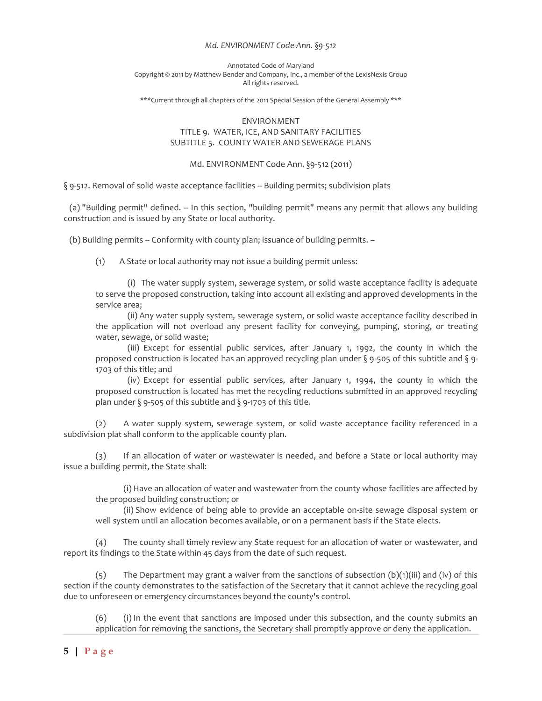### *Md. ENVIRONMENT Code Ann. §9-512*

#### Annotated Code of Maryland Copyright © 2011 by Matthew Bender and Company, Inc., a member of the LexisNexis Group All rights reserved.

\*\*\*Current through all chapters of the 2011 Special Session of the General Assembly \*\*\*

# ENVIRONMENT TITLE 9. WATER, ICE, AND SANITARY FACILITIES SUBTITLE 5. COUNTY WATER AND SEWERAGE PLANS

## Md. ENVIRONMENT Code Ann. §9-512 (2011)

§ 9-512. Removal of solid waste acceptance facilities -- Building permits; subdivision plats

 (a) "Building permit" defined. -- In this section, "building permit" means any permit that allows any building construction and is issued by any State or local authority.

(b) Building permits -- Conformity with county plan; issuance of building permits. –

(1) A State or local authority may not issue a building permit unless:

(i) The water supply system, sewerage system, or solid waste acceptance facility is adequate to serve the proposed construction, taking into account all existing and approved developments in the service area;

(ii) Any water supply system, sewerage system, or solid waste acceptance facility described in the application will not overload any present facility for conveying, pumping, storing, or treating water, sewage, or solid waste;

(iii) Except for essential public services, after January 1, 1992, the county in which the proposed construction is located has an approved recycling plan under § 9-505 of this subtitle and § 9- 1703 of this title; and

(iv) Except for essential public services, after January 1, 1994, the county in which the proposed construction is located has met the recycling reductions submitted in an approved recycling plan under § 9-505 of this subtitle and § 9-1703 of this title.

(2) A water supply system, sewerage system, or solid waste acceptance facility referenced in a subdivision plat shall conform to the applicable county plan.

(3) If an allocation of water or wastewater is needed, and before a State or local authority may issue a building permit, the State shall:

(i) Have an allocation of water and wastewater from the county whose facilities are affected by the proposed building construction; or

(ii) Show evidence of being able to provide an acceptable on-site sewage disposal system or well system until an allocation becomes available, or on a permanent basis if the State elects.

(4) The county shall timely review any State request for an allocation of water or wastewater, and report its findings to the State within 45 days from the date of such request.

(5) The Department may grant a waiver from the sanctions of subsection  $(b)(1)(iii)$  and (iv) of this section if the county demonstrates to the satisfaction of the Secretary that it cannot achieve the recycling goal due to unforeseen or emergency circumstances beyond the county's control.

(6) (i) In the event that sanctions are imposed under this subsection, and the county submits an application for removing the sanctions, the Secretary shall promptly approve or deny the application.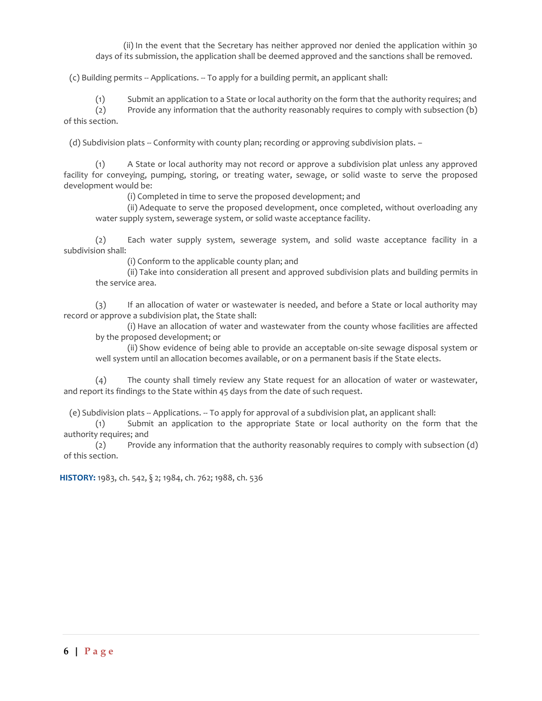(ii) In the event that the Secretary has neither approved nor denied the application within 30 days of its submission, the application shall be deemed approved and the sanctions shall be removed.

(c) Building permits -- Applications. -- To apply for a building permit, an applicant shall:

(1) Submit an application to a State or local authority on the form that the authority requires; and

(2) Provide any information that the authority reasonably requires to comply with subsection (b) of this section.

(d) Subdivision plats -- Conformity with county plan; recording or approving subdivision plats. –

(1) A State or local authority may not record or approve a subdivision plat unless any approved facility for conveying, pumping, storing, or treating water, sewage, or solid waste to serve the proposed development would be:

(i) Completed in time to serve the proposed development; and

(ii) Adequate to serve the proposed development, once completed, without overloading any water supply system, sewerage system, or solid waste acceptance facility.

(2) Each water supply system, sewerage system, and solid waste acceptance facility in a subdivision shall:

(i) Conform to the applicable county plan; and

(ii) Take into consideration all present and approved subdivision plats and building permits in the service area.

(3) If an allocation of water or wastewater is needed, and before a State or local authority may record or approve a subdivision plat, the State shall:

(i) Have an allocation of water and wastewater from the county whose facilities are affected by the proposed development; or

(ii) Show evidence of being able to provide an acceptable on-site sewage disposal system or well system until an allocation becomes available, or on a permanent basis if the State elects.

(4) The county shall timely review any State request for an allocation of water or wastewater, and report its findings to the State within 45 days from the date of such request.

(e) Subdivision plats -- Applications. -- To apply for approval of a subdivision plat, an applicant shall:

(1) Submit an application to the appropriate State or local authority on the form that the authority requires; and

(2) Provide any information that the authority reasonably requires to comply with subsection (d) of this section.

**HISTORY:** 1983, ch. 542, § 2; 1984, ch. 762; 1988, ch. 536